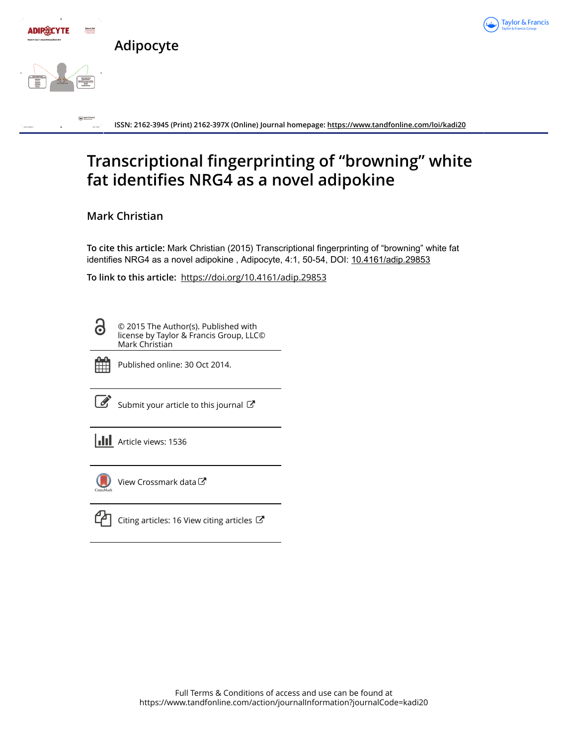

# **Transcriptional fingerprinting of "browning" white fat identifies NRG4 as a novel adipokine**

**Mark Christian**

**To cite this article:** Mark Christian (2015) Transcriptional fingerprinting of "browning" white fat identifies NRG4 as a novel adipokine, Adipocyte, 4:1, 50-54, DOI: [10.4161/adip.29853](https://www.tandfonline.com/action/showCitFormats?doi=10.4161/adip.29853)

**To link to this article:** <https://doi.org/10.4161/adip.29853>

8

© 2015 The Author(s). Published with license by Taylor & Francis Group, LLC© Mark Christian



Published online: 30 Oct 2014.

[Submit your article to this journal](https://www.tandfonline.com/action/authorSubmission?journalCode=kadi20&show=instructions)  $\mathbb{Z}$ 

**Article views: 1536** 



[View Crossmark data](http://crossmark.crossref.org/dialog/?doi=10.4161/adip.29853&domain=pdf&date_stamp=2014-10-30)<sup>C</sup>



 $\mathbb{Z}$  [Citing articles: 16 View citing articles](https://www.tandfonline.com/doi/citedby/10.4161/adip.29853#tabModule)  $\mathbb{Z}$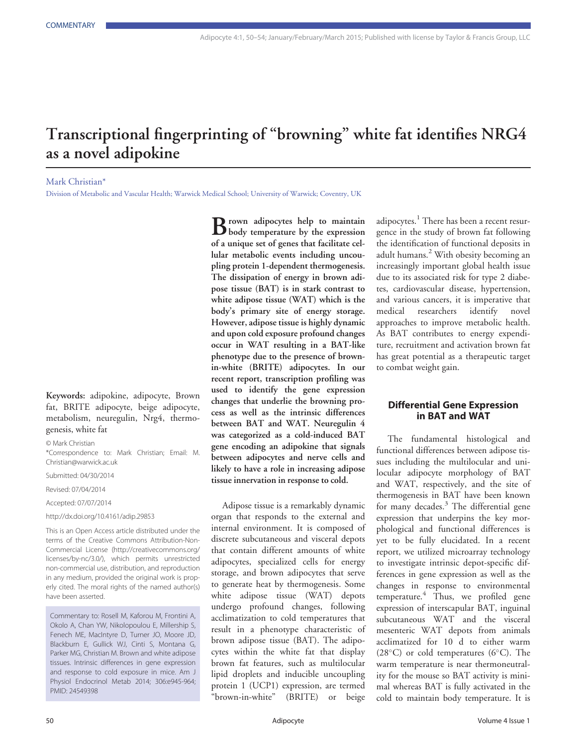## Transcriptional fingerprinting of "browning" white fat identifies NRG4 as a novel adipokine

Mark Christian\*

Division of Metabolic and Vascular Health; Warwick Medical School; University of Warwick; Coventry, UK

Keywords: adipokine, adipocyte, Brown fat, BRITE adipocyte, beige adipocyte, metabolism, neuregulin, Nrg4, thermogenesis, white fat

© Mark Christian

\*Correspondence to: Mark Christian; Email: M. Christian@warwick.ac.uk

Submitted: 04/30/2014

Revised: 07/04/2014

Accepted: 07/07/2014

http://dx.doi.org/10.4161/adip.29853

This is an Open Access article distributed under the terms of the Creative Commons Attribution-Non-Commercial License ([http://creativecommons.org/](http://creativecommons.org/licenses/by-nc/3.0/) [licenses/by-nc/3.0/\), which permits unrestricted](http://creativecommons.org/licenses/by-nc/3.0/) [non-commercial use, distribution, and reproduction](http://creativecommons.org/licenses/by-nc/3.0/) [in any medium, provided the original work is prop](http://creativecommons.org/licenses/by-nc/3.0/)[erly cited. The moral rights of the named author\(s\)](http://creativecommons.org/licenses/by-nc/3.0/) [have been asserted.](http://creativecommons.org/licenses/by-nc/3.0/)

Commentary to: Rosell M, Kaforou M, Frontini A, Okolo A, Chan YW, Nikolopoulou E, Millership S, Fenech ME, MacIntyre D, Turner JO, Moore JD, Blackburn E, Gullick WJ, Cinti S, Montana G, Parker MG, Christian M. Brown and white adipose tissues. Intrinsic differences in gene expression and response to cold exposure in mice. Am J Physiol Endocrinol Metab 2014; 306:e945-964; PMID: 24549398

**B** rown adipocytes help to maintain<br>body temperature by the expression of a unique set of genes that facilitate cellular metabolic events including uncoupling protein 1-dependent thermogenesis. The dissipation of energy in brown adipose tissue (BAT) is in stark contrast to white adipose tissue (WAT) which is the body's primary site of energy storage. However, adipose tissue is highly dynamic and upon cold exposure profound changes occur in WAT resulting in a BAT-like phenotype due to the presence of brownin-white (BRITE) adipocytes. In our recent report, transcription profiling was used to identify the gene expression changes that underlie the browning process as well as the intrinsic differences between BAT and WAT. Neuregulin 4 was categorized as a cold-induced BAT gene encoding an adipokine that signals between adipocytes and nerve cells and likely to have a role in increasing adipose tissue innervation in response to cold.

Adipose tissue is a remarkably dynamic organ that responds to the external and internal environment. It is composed of discrete subcutaneous and visceral depots that contain different amounts of white adipocytes, specialized cells for energy storage, and brown adipocytes that serve to generate heat by thermogenesis. Some white adipose tissue (WAT) depots undergo profound changes, following acclimatization to cold temperatures that result in a phenotype characteristic of brown adipose tissue (BAT). The adipocytes within the white fat that display brown fat features, such as multilocular lipid droplets and inducible uncoupling protein 1 (UCP1) expression, are termed "brown-in-white" (BRITE) or beige

adipocytes.<sup>1</sup> There has been a recent resurgence in the study of brown fat following the identification of functional deposits in adult humans.<sup>2</sup> With obesity becoming an increasingly important global health issue due to its associated risk for type 2 diabetes, cardiovascular disease, hypertension, and various cancers, it is imperative that medical researchers identify novel approaches to improve metabolic health. As BAT contributes to energy expenditure, recruitment and activation brown fat has great potential as a therapeutic target to combat weight gain.

## Differential Gene Expression in BAT and WAT

The fundamental histological and functional differences between adipose tissues including the multilocular and unilocular adipocyte morphology of BAT and WAT, respectively, and the site of thermogenesis in BAT have been known for many decades. $3$  The differential gene expression that underpins the key morphological and functional differences is yet to be fully elucidated. In a recent report, we utilized microarray technology to investigate intrinsic depot-specific differences in gene expression as well as the changes in response to environmental temperature.<sup>4</sup> Thus, we profiled gene expression of interscapular BAT, inguinal subcutaneous WAT and the visceral mesenteric WAT depots from animals acclimatized for 10 d to either warm  $(28^{\circ}C)$  or cold temperatures (6 $^{\circ}C$ ). The warm temperature is near thermoneutrality for the mouse so BAT activity is minimal whereas BAT is fully activated in the cold to maintain body temperature. It is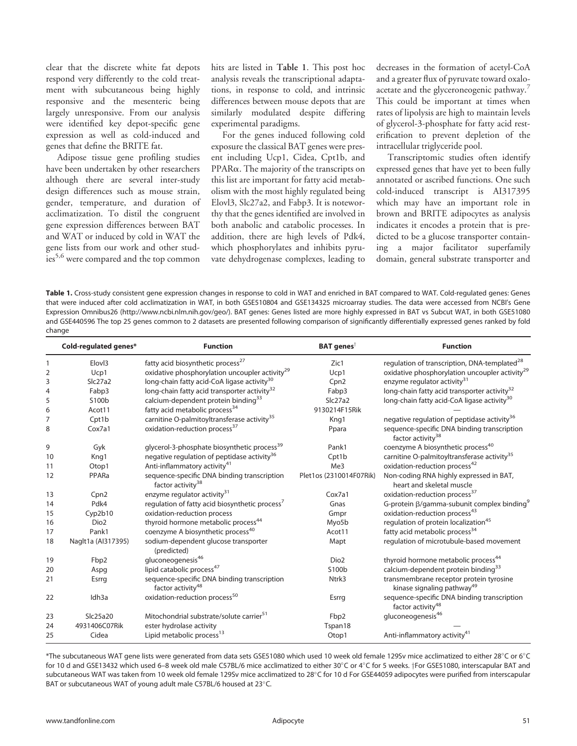clear that the discrete white fat depots respond very differently to the cold treatment with subcutaneous being highly responsive and the mesenteric being largely unresponsive. From our analysis were identified key depot-specific gene expression as well as cold-induced and genes that define the BRITE fat.

Adipose tissue gene profiling studies have been undertaken by other researchers although there are several inter-study design differences such as mouse strain, gender, temperature, and duration of acclimatization. To distil the congruent gene expression differences between BAT and WAT or induced by cold in WAT the gene lists from our work and other studies<sup>5,6</sup> were compared and the top common

hits are listed in Table 1. This post hoc analysis reveals the transcriptional adaptations, in response to cold, and intrinsic differences between mouse depots that are similarly modulated despite differing experimental paradigms.

For the genes induced following cold exposure the classical BAT genes were present including Ucp1, Cidea, Cpt1b, and PPARa. The majority of the transcripts on this list are important for fatty acid metabolism with the most highly regulated being Elovl3, Slc27a2, and Fabp3. It is noteworthy that the genes identified are involved in both anabolic and catabolic processes. In addition, there are high levels of Pdk4, which phosphorylates and inhibits pyruvate dehydrogenase complexes, leading to

decreases in the formation of acetyl-CoA and a greater flux of pyruvate toward oxaloacetate and the glyceroneogenic pathway.<sup>7</sup> This could be important at times when rates of lipolysis are high to maintain levels of glycerol-3-phosphate for fatty acid resterification to prevent depletion of the intracellular triglyceride pool.

Transcriptomic studies often identify expressed genes that have yet to been fully annotated or ascribed functions. One such cold-induced transcript is AI317395 which may have an important role in brown and BRITE adipocytes as analysis indicates it encodes a protein that is predicted to be a glucose transporter containing a major facilitator superfamily domain, general substrate transporter and

Table 1. Cross-study consistent gene expression changes in response to cold in WAT and enriched in BAT compared to WAT. Cold-regulated genes: Genes that were induced after cold acclimatization in WAT, in both GSE510804 and GSE134325 microarray studies. The data were accessed from NCBI's Gene Expression Omnibus26 ([http://www.ncbi.nlm.nih.gov/geo/\). BAT genes: Genes listed are more highly expressed in BAT vs Subcut WAT, in both GSE51080](http://www.ncbi.nlm.nih.gov/geo/) [and GSE440596 The top 25 genes common to 2 datasets are presented following comparison of signi](http://www.ncbi.nlm.nih.gov/geo/)ficantly differentially expressed genes ranked by fold [change](http://www.ncbi.nlm.nih.gov/geo/)

|                | Cold-regulated genes* | <b>Function</b>                                                              | <b>BAT</b> genes <sup>†</sup> | <b>Function</b>                                                                   |
|----------------|-----------------------|------------------------------------------------------------------------------|-------------------------------|-----------------------------------------------------------------------------------|
| 1              | Elov <sub>13</sub>    | fatty acid biosynthetic process <sup>27</sup>                                | Zic1                          | regulation of transcription, DNA-templated <sup>28</sup>                          |
| $\overline{2}$ | Ucp1                  | oxidative phosphorylation uncoupler activity <sup>29</sup>                   | Ucp1                          | oxidative phosphorylation uncoupler activity <sup>29</sup>                        |
| 3              | Slc27a2               | long-chain fatty acid-CoA ligase activity <sup>30</sup>                      | Cpn <sub>2</sub>              | enzyme regulator activity <sup>31</sup>                                           |
| 4              | Fabp3                 | long-chain fatty acid transporter activity <sup>32</sup>                     | Fabp3                         | long-chain fatty acid transporter activity <sup>32</sup>                          |
| 5              | S100b                 | calcium-dependent protein binding <sup>33</sup>                              | Slc27a2                       | long-chain fatty acid-CoA ligase activity <sup>30</sup>                           |
| 6              | Acot11                | fatty acid metabolic process <sup>34</sup>                                   | 9130214F15Rik                 |                                                                                   |
| 7              | Cpt1b                 | carnitine O-palmitoyltransferase activity <sup>35</sup>                      | Kng1                          | negative regulation of peptidase activity <sup>36</sup>                           |
| 8              | Cox7a1                | oxidation-reduction process <sup>37</sup>                                    | Ppara                         | sequence-specific DNA binding transcription<br>factor activity <sup>38</sup>      |
| 9              | Gyk                   | glycerol-3-phosphate biosynthetic process <sup>39</sup>                      | Pank1                         | coenzyme A biosynthetic process <sup>40</sup>                                     |
| 10             | Kng1                  | negative regulation of peptidase activity <sup>36</sup>                      | Cpt1b                         | carnitine O-palmitoyltransferase activity <sup>35</sup>                           |
| 11             | Otop1                 | Anti-inflammatory activity <sup>41</sup>                                     | Me3                           | oxidation-reduction process <sup>42</sup>                                         |
| 12             | PPARa                 | sequence-specific DNA binding transcription<br>factor activity <sup>38</sup> | Plet1os (2310014F07Rik)       | Non-coding RNA highly expressed in BAT,<br>heart and skeletal muscle              |
| 13             | Cpn <sub>2</sub>      | enzyme regulator activity <sup>31</sup>                                      | Cox7a1                        | oxidation-reduction process <sup>37</sup>                                         |
| 14             | Pdk4                  | regulation of fatty acid biosynthetic process <sup>7</sup>                   | Gnas                          | G-protein $\beta$ /gamma-subunit complex binding <sup>9</sup>                     |
| 15             | Cyp2b10               | oxidation-reduction process                                                  | Gmpr                          | oxidation-reduction process <sup>43</sup>                                         |
| 16             | Dio <sub>2</sub>      | thyroid hormone metabolic process <sup>44</sup>                              | Myo5b                         | regulation of protein localization <sup>45</sup>                                  |
| 17             | Pank1                 | coenzyme A biosynthetic process <sup>40</sup>                                | Acot11                        | fatty acid metabolic process <sup>34</sup>                                        |
| 18             | Naglt1a (Al317395)    | sodium-dependent glucose transporter<br>(predicted)                          | Mapt                          | regulation of microtubule-based movement                                          |
| 19             | Fbp2                  | gluconeogenesis <sup>46</sup>                                                | Dio <sub>2</sub>              | thyroid hormone metabolic process <sup>44</sup>                                   |
| 20             | Aspg                  | lipid catabolic process <sup>47</sup>                                        | S100b                         | calcium-dependent protein binding <sup>33</sup>                                   |
| 21             | Esrrg                 | sequence-specific DNA binding transcription<br>factor activity <sup>48</sup> | Ntrk3                         | transmembrane receptor protein tyrosine<br>kinase signaling pathway <sup>49</sup> |
| 22             | Idh <sub>3a</sub>     | oxidation-reduction process <sup>50</sup>                                    | Esrrg                         | sequence-specific DNA binding transcription<br>factor activity <sup>48</sup>      |
| 23             | Slc25a20              | Mitochondrial substrate/solute carrier <sup>51</sup>                         | Fbp2                          | gluconeogenesis <sup>46</sup>                                                     |
| 24             | 4931406C07Rik         | ester hydrolase activity                                                     | Tspan18                       |                                                                                   |
| 25             | Cidea                 | Lipid metabolic process <sup>13</sup>                                        | Otop1                         | Anti-inflammatory activity <sup>41</sup>                                          |

 $*$ The subcutaneous WAT gene lists were generated from data sets GSE51080 which used 10 week old female 129Sv mice acclimatized to either 28°C or 6°C for 10 d and GSE13432 which used 6–8 week old male C57BL/6 mice acclimatized to either 30°C or 4°C for 5 weeks. †For GSE51080, interscapular BAT and subcutaneous WAT was taken from 10 week old female 129Sv mice acclimatized to 28°C for 10 d For GSE44059 adipocytes were purified from interscapular BAT or subcutaneous WAT of young adult male C57BL/6 housed at 23°C.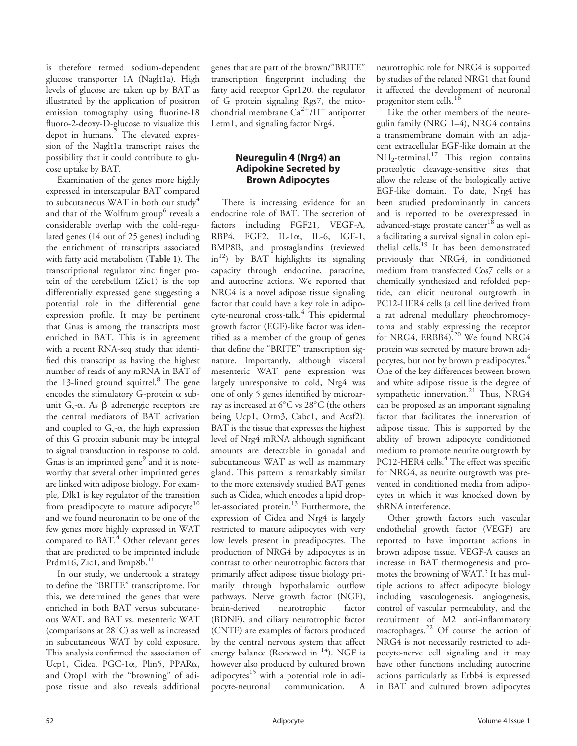is therefore termed sodium-dependent glucose transporter 1A (Naglt1a). High levels of glucose are taken up by BAT as illustrated by the application of positron emission tomography using fluorine-18 fluoro-2-deoxy-D-glucose to visualize this depot in humans.<sup>2</sup> The elevated expression of the Naglt1a transcript raises the possibility that it could contribute to glucose uptake by BAT.

Examination of the genes more highly expressed in interscapular BAT compared to subcutaneous WAT in both our study<sup>4</sup> and that of the Wolfrum group<sup>6</sup> reveals a considerable overlap with the cold-regulated genes (14 out of 25 genes) including the enrichment of transcripts associated with fatty acid metabolism (Table 1). The transcriptional regulator zinc finger protein of the cerebellum (Zic1) is the top differentially expressed gene suggesting a potential role in the differential gene expression profile. It may be pertinent that Gnas is among the transcripts most enriched in BAT. This is in agreement with a recent RNA-seq study that identified this transcript as having the highest number of reads of any mRNA in BAT of the 13-lined ground squirrel. $8$  The gene encodes the stimulatory G-protein  $\alpha$  subunit  $G_s$ - $\alpha$ . As  $\beta$  adrenergic receptors are the central mediators of BAT activation and coupled to  $G_s$ - $\alpha$ , the high expression of this G protein subunit may be integral to signal transduction in response to cold. Gnas is an imprinted gene<sup>9</sup> and it is noteworthy that several other imprinted genes are linked with adipose biology. For example, Dlk1 is key regulator of the transition from preadipocyte to mature adipocyte<sup>10</sup> and we found neuronatin to be one of the few genes more highly expressed in WAT compared to  $BAT.4$  Other relevant genes that are predicted to be imprinted include Prdm16, Zic1, and Bmp8b.<sup>11</sup>

In our study, we undertook a strategy to define the "BRITE" transcriptome. For this, we determined the genes that were enriched in both BAT versus subcutaneous WAT, and BAT vs. mesenteric WAT (comparisons at  $28^{\circ}$ C) as well as increased in subcutaneous WAT by cold exposure. This analysis confirmed the association of Ucp1, Cidea, PGC-1a, Plin5, PPARa, and Otop1 with the "browning" of adipose tissue and also reveals additional

genes that are part of the brown/"BRITE" transcription fingerprint including the fatty acid receptor Gpr120, the regulator of G protein signaling Rgs7, the mitochondrial membrane  $Ca^{2+}/H^+$  antiporter Letm1, and signaling factor Nrg4.

## Neuregulin 4 (Nrg4) an Adipokine Secreted by Brown Adipocytes

There is increasing evidence for an endocrine role of BAT. The secretion of factors including FGF21, VEGF-A, RBP4, FGF2, IL-1a, IL-6, IGF-1, BMP8B, and prostaglandins (reviewed  $\text{in}^{12}$ ) by BAT highlights its signaling capacity through endocrine, paracrine, and autocrine actions. We reported that NRG4 is a novel adipose tissue signaling factor that could have a key role in adipocyte-neuronal cross-talk.<sup>4</sup> This epidermal growth factor (EGF)-like factor was identified as a member of the group of genes that define the "BRITE" transcription signature. Importantly, although visceral mesenteric WAT gene expression was largely unresponsive to cold, Nrg4 was one of only 5 genes identified by microarray as increased at  $6^{\circ}$ C vs 28 $^{\circ}$ C (the others being Ucp1, Orm3, Cabc1, and Acsf2). BAT is the tissue that expresses the highest level of Nrg4 mRNA although significant amounts are detectable in gonadal and subcutaneous WAT as well as mammary gland. This pattern is remarkably similar to the more extensively studied BAT genes such as Cidea, which encodes a lipid droplet-associated protein.<sup>13</sup> Furthermore, the expression of Cidea and Nrg4 is largely restricted to mature adipocytes with very low levels present in preadipocytes. The production of NRG4 by adipocytes is in contrast to other neurotrophic factors that primarily affect adipose tissue biology primarily through hypothalamic outflow pathways. Nerve growth factor (NGF), brain-derived neurotrophic factor (BDNF), and ciliary neurotrophic factor (CNTF) are examples of factors produced by the central nervous system that affect energy balance (Reviewed in  $14$ ). NGF is however also produced by cultured brown adipocytes $15$  with a potential role in adipocyte-neuronal communication. A neurotrophic role for NRG4 is supported by studies of the related NRG1 that found it affected the development of neuronal progenitor stem cells.<sup>16</sup>

Like the other members of the neuregulin family (NRG 1–4), NRG4 contains a transmembrane domain with an adjacent extracellular EGF-like domain at the  $NH_2$ -terminal.<sup>17</sup> This region contains proteolytic cleavage-sensitive sites that allow the release of the biologically active EGF-like domain. To date, Nrg4 has been studied predominantly in cancers and is reported to be overexpressed in advanced-stage prostate cancer<sup>18</sup> as well as a facilitating a survival signal in colon epithelial cells.<sup>19</sup> It has been demonstrated previously that NRG4, in conditioned medium from transfected Cos7 cells or a chemically synthesized and refolded peptide, can elicit neuronal outgrowth in PC12-HER4 cells (a cell line derived from a rat adrenal medullary pheochromocytoma and stably expressing the receptor for NRG4, ERBB4).<sup>20</sup> We found NRG4 protein was secreted by mature brown adipocytes, but not by brown preadipocytes.<sup>4</sup> One of the key differences between brown and white adipose tissue is the degree of sympathetic innervation.<sup>21</sup> Thus, NRG4 can be proposed as an important signaling factor that facilitates the innervation of adipose tissue. This is supported by the ability of brown adipocyte conditioned medium to promote neurite outgrowth by PC12-HER4 cells.<sup>4</sup> The effect was specific for NRG4, as neurite outgrowth was prevented in conditioned media from adipocytes in which it was knocked down by shRNA interference.

Other growth factors such vascular endothelial growth factor (VEGF) are reported to have important actions in brown adipose tissue. VEGF-A causes an increase in BAT thermogenesis and promotes the browning of WAT.<sup>5</sup> It has multiple actions to affect adipocyte biology including vasculogenesis, angiogenesis, control of vascular permeability, and the recruitment of M2 anti-inflammatory macrophages.<sup>22</sup> Of course the action of NRG4 is not necessarily restricted to adipocyte-nerve cell signaling and it may have other functions including autocrine actions particularly as Erbb4 is expressed in BAT and cultured brown adipocytes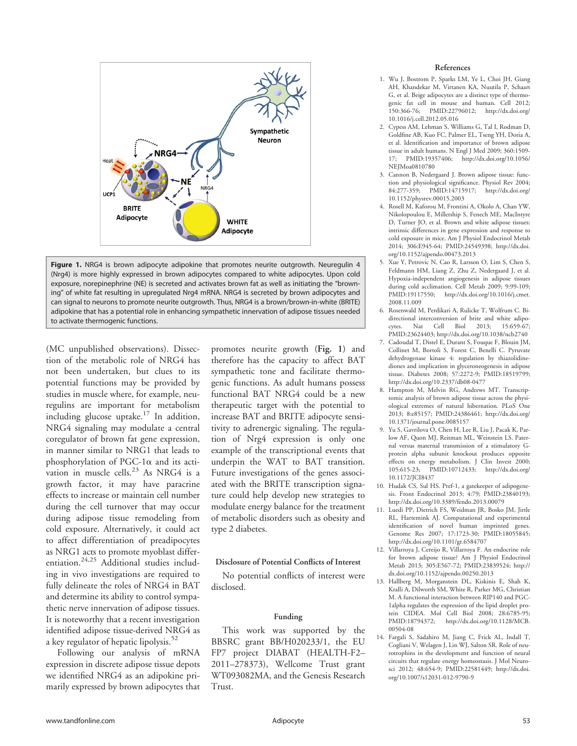

Figure 1. NRG4 is brown adipocyte adipokine that promotes neurite outgrowth. Neuregulin 4 (Nrg4) is more highly expressed in brown adipocytes compared to white adipocytes. Upon cold exposure, norepinephrine (NE) is secreted and activates brown fat as well as initiating the "browning" of white fat resulting in upregulated Nrg4 mRNA. NRG4 is secreted by brown adipocytes and can signal to neurons to promote neurite outgrowth. Thus, NRG4 is a brown/brown-in-white (BRITE) adipokine that has a potential role in enhancing sympathetic innervation of adipose tissues needed to activate thermogenic functions.

(MC unpublished observations). Dissection of the metabolic role of NRG4 has not been undertaken, but clues to its potential functions may be provided by studies in muscle where, for example, neuregulins are important for metabolism including glucose uptake.<sup>17</sup> In addition, NRG4 signaling may modulate a central coregulator of brown fat gene expression, in manner similar to NRG1 that leads to phosphorylation of PGC-1 $\alpha$  and its activation in muscle cells. $^{23}$  As NRG4 is a growth factor, it may have paracrine effects to increase or maintain cell number during the cell turnover that may occur during adipose tissue remodeling from cold exposure. Alternatively, it could act to affect differentiation of preadipocytes as NRG1 acts to promote myoblast differentiation.<sup>24,25</sup> Additional studies including in vivo investigations are required to fully delineate the roles of NRG4 in BAT and determine its ability to control sympathetic nerve innervation of adipose tissues. It is noteworthy that a recent investigation identified adipose tissue-derived NRG4 as a key regulator of hepatic lipolysis.<sup>52</sup>

Following our analysis of mRNA expression in discrete adipose tissue depots we identified NRG4 as an adipokine primarily expressed by brown adipocytes that

promotes neurite growth (Fig. 1) and therefore has the capacity to affect BAT sympathetic tone and facilitate thermogenic functions. As adult humans possess functional BAT NRG4 could be a new therapeutic target with the potential to increase BAT and BRITE adipocyte sensitivity to adrenergic signaling. The regulation of Nrg4 expression is only one example of the transcriptional events that underpin the WAT to BAT transition. Future investigations of the genes associated with the BRITE transcription signature could help develop new strategies to modulate energy balance for the treatment of metabolic disorders such as obesity and type 2 diabetes.

### Disclosure of Potential Conflicts of Interest

No potential conflicts of interest were disclosed.

### Funding

This work was supported by the BBSRC grant BB/H020233/1, the EU FP7 project DIABAT (HEALTH-F2– 2011–278373), Wellcome Trust grant WT093082MA, and the Genesis Research Trust.

#### References

- 1. Wu J, Bostrom P, Sparks LM, Ye L, Choi JH, Giang AH, Khandekar M, Virtanen KA, Nuutila P, Schaart G, et al. Beige adipocytes are a distinct type of thermogenic fat cell in mouse and human. Cell 2012; 150:366-76; PMID:22796012; http://dx.doi.org/ 10.1016/j.cell.2012.05.016
- 2. Cypess AM, Lehman S, Williams G, Tal I, Rodman D, Goldfine AB, Kuo FC, Palmer EL, Tseng YH, Doria A, et al. Identification and importance of brown adipose tissue in adult humans. N Engl J Med 2009; 360:1509- 17; PMID:19357406; http://dx.doi.org/10.1056/ NEJMoa0810780
- 3. Cannon B, Nedergaard J. Brown adipose tissue: function and physiological significance. Physiol Rev 2004; 84:277-359; PMID:14715917; http://dx.doi.org/ 10.1152/physrev.00015.2003
- 4. Rosell M, Kaforou M, Frontini A, Okolo A, Chan YW, Nikolopoulou E, Millership S, Fenech ME, MacIntyre D, Turner JO, et al. Brown and white adipose tissues: intrinsic differences in gene expression and response to cold exposure in mice. Am J Physiol Endocrinol Metab 2014; 306:E945-64; PMID:24549398; http://dx.doi. org/10.1152/ajpendo.00473.2013
- 5. Xue Y, Petrovic N, Cao R, Larsson O, Lim S, Chen S, Feldmann HM, Liang Z, Zhu Z, Nedergaard J, et al. Hypoxia-independent angiogenesis in adipose tissues during cold acclimation. Cell Metab 2009; 9:99-109; PMID:19117550; http://dx.doi.org/10.1016/j.cmet. 2008.11.009
- 6. Rosenwald M, Perdikari A, Rulicke T, Wolfrum C. Bidirectional interconversion of brite and white adipocytes. Nat Cell Biol 2013; 15:659-67; PMID:23624403; http://dx.doi.org/10.1038/ncb2740
- 7. Cadoudal T, Distel E, Durant S, Fouque F, Blouin JM, Collinet M, Bortoli S, Forest C, Benelli C. Pyruvate dehydrogenase kinase 4: regulation by thiazolidinediones and implication in glyceroneogenesis in adipose tissue. Diabetes 2008; 57:2272-9; PMID:18519799; http://dx.doi.org/10.2337/db08-0477
- 8. Hampton M, Melvin RG, Andrews MT. Transcriptomic analysis of brown adipose tissue across the physiological extremes of natural hibernation. PLoS One 2013; 8:e85157; PMID:24386461; http://dx.doi.org/ 10.1371/journal.pone.0085157
- 9. Yu S, Gavrilova O, Chen H, Lee R, Liu J, Pacak K, Parlow AF, Quon MJ, Reitman ML, Weinstein LS. Paternal versus maternal transmission of a stimulatory Gprotein alpha subunit knockout produces opposite effects on energy metabolism. J Clin Invest 2000; 105:615-23; PMID:10712433; http://dx.doi.org/ 10.1172/JCI8437
- 10. Hudak CS, Sul HS. Pref-1, a gatekeeper of adipogenesis. Front Endocrinol 2013; 4:79; PMID:23840193; http://dx.doi.org/10.3389/fendo.2013.00079
- 11. Luedi PP, Dietrich FS, Weidman JR, Bosko JM, Jirtle RL, Hartemink AJ. Computational and experimental identification of novel human imprinted genes. Genome Res 2007; 17:1723-30; PMID:18055845; http://dx.doi.org/10.1101/gr.6584707
- 12. Villarroya J, Cereijo R, Villarroya F. An endocrine role for brown adipose tissue? Am J Physiol Endocrinol Metab 2013; 305:E567-72; PMID:23839524; http:// dx.doi.org/10.1152/ajpendo.00250.2013
- 13. Hallberg M, Morganstein DL, Kiskinis E, Shah K, Kralli A, Dilworth SM, White R, Parker MG, Christian M. A functional interaction between RIP140 and PGC-1alpha regulates the expression of the lipid droplet protein CIDEA. Mol Cell Biol 2008; 28:6785-95; PMID:18794372; http://dx.doi.org/10.1128/MCB. 00504-08
- 14. Fargali S, Sadahiro M, Jiang C, Frick AL, Indall T, Cogliani V, Welagen J, Lin WJ, Salton SR. Role of neurotrophins in the development and function of neural circuits that regulate energy homeostasis. J Mol Neurosci 2012; 48:654-9; PMID:22581449; http://dx.doi. org/10.1007/s12031-012-9790-9